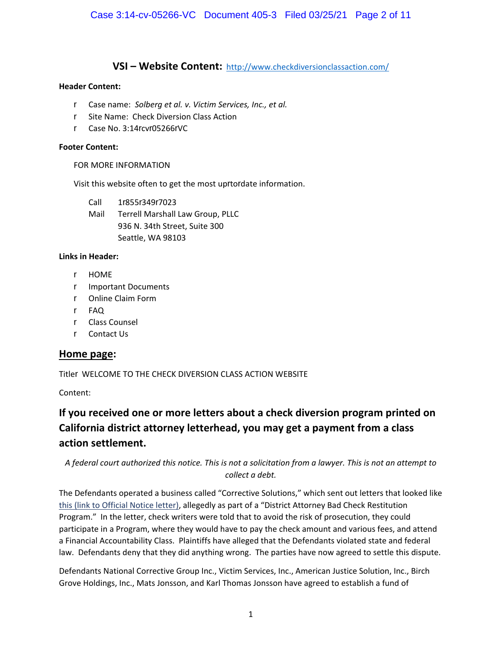# **VSI–WebsiteContent:**http://www.checkdiversionclassaction.com/

#### **HeaderContent:**

- r Casename:*Solbergetal.v.VictimServices,Inc.,etal.*
- r Site Name: Check Diversion Class Action
- r Case No.  $3:14$  rv 05266 VC

#### **FooterContent:**

#### FOR MORE INFORMATION

Visit this website often to get the most up to date information.

Call 1 855 849 7023 Mail Terrell Marshall Law Group, PLLC 936 N. 34th Street, Suite 300 Seattle, WA 98103

#### **LinksinHeader:**

- r HOME
- r Important Documents
- r Online Claim Form
- r FAQ
- r Class Counsel
- r Contact Us

### **Homepage:**

Title WELCOME TO THE CHECK DIVERSION CLASS ACTION WEBSITE

Content:

# **Ifyoureceivedoneormorelettersaboutacheckdiversionprogramprintedon Californiadistrictattorneyletterhead,youmaygetapaymentfromaclass actionsettlement.**

# A federal court authorized this notice. This is not a solicitation from a lawyer. This is not an attempt to *collectadebt.*

The Defendants operated a business called "Corrective Solutions," which sent out letters that looked like this (link to Official Notice letter), allegedly as part of a "District Attorney Bad Check Restitution Program." In the letter, check writers were told that to avoid the risk of prosecution, they could participate in a Program, where they would have to pay the check amount and various fees, and attend a Financial Accountability Class. Plaintiffs have alleged that the Defendants violated state and federal law. Defendants deny that they did anything wrong. The parties have now agreed to settle this dispute.

Defendants National Corrective Group Inc., Victim Services, Inc., American Justice Solution, Inc., Birch Grove Holdings, Inc., Mats Jonsson, and Karl Thomas Jonsson have agreed to establish a fund of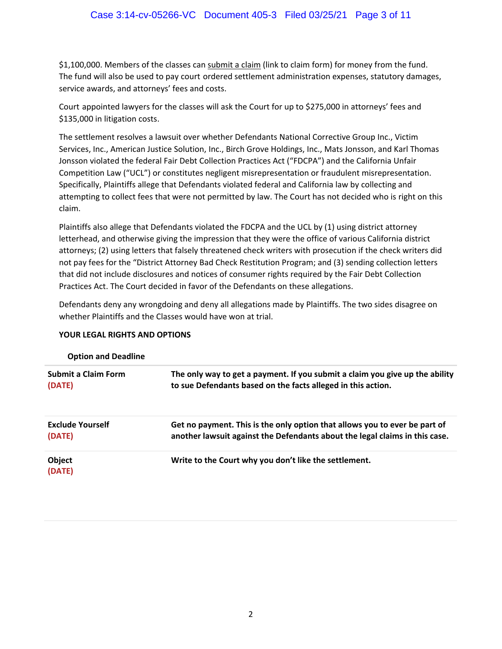\$1,100,000. Members of the classes can submit a claim (link to claim form) for money from the fund. The fund will also be used to pay courtrordered settlement administration expenses, statutory damages, service awards, and attorneys' fees and costs.

Courtrappointed lawyers for the classes will ask the Court for up to \$275,000 in attorneys' fees and \$135,000 in litigation costs.

The settlement resolves a lawsuit over whether Defendants National Corrective Group Inc., Victim Services, Inc., American Justice Solution, Inc., Birch Grove Holdings, Inc., Mats Jonsson, and Karl Thomas Jonsson violated the federal Fair Debt Collection Practices Act ("FDCPA") and the California Unfair Competition Law ("UCL") or constitutes negligent misrepresentation or fraudulent misrepresentation. Specifically, Plaintiffs allege that Defendants violated federal and California law by collecting and attempting to collect fees that were not permitted by law. The Court has not decided who is right on this claim.

Plaintiffs also allege that Defendants violated the FDCPA and the UCL by (1) using district attorney letterhead, and otherwise giving the impression that they were the office of various California district attorneys; (2) using letters that falsely threatened check writers with prosecution if the check writers did not pay fees for the "District Attorney Bad Check Restitution Program; and (3) sending collection letters that did not include disclosures and notices of consumer rights required by the Fair Debt Collection Practices Act. The Court decided in favor of the Defendants on these allegations.

Defendants deny any wrongdoing and deny all allegations made by Plaintiffs. The two sides disagree on whether Plaintiffs and the Classes would have won at trial.

### YOUR LEGAL RIGHTS AND OPTIONS

| <b>Option and Deadline</b> |  |
|----------------------------|--|
|----------------------------|--|

| <b>Submit a Claim Form</b> | The only way to get a payment. If you submit a claim you give up the ability |
|----------------------------|------------------------------------------------------------------------------|
| (DATE)                     | to sue Defendants based on the facts alleged in this action.                 |
| <b>Exclude Yourself</b>    | Get no payment. This is the only option that allows you to ever be part of   |
| (DATE)                     | another lawsuit against the Defendants about the legal claims in this case.  |
| Object<br>(DATE)           | Write to the Court why you don't like the settlement.                        |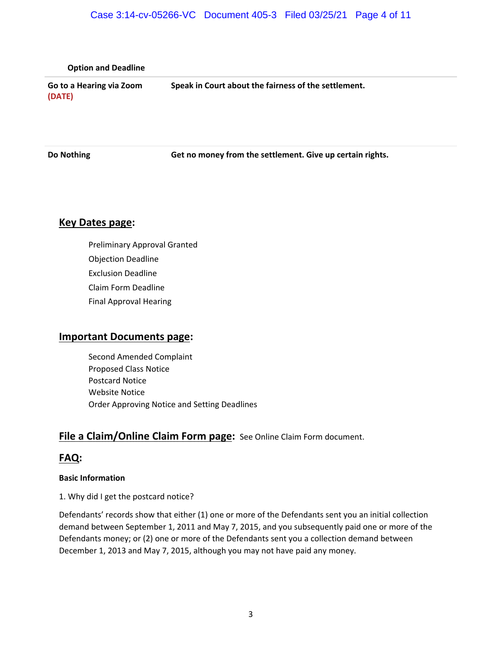### Case 3:14-cv-05266-VC Document 405-3 Filed 03/25/21 Page 4 of 11

| <b>Option and Deadline</b>         |                                                      |
|------------------------------------|------------------------------------------------------|
| Go to a Hearing via Zoom<br>(DATE) | Speak in Court about the fairness of the settlement. |

**Do Nothing <b>Get no money from the settlement.** Give up certain rights.

### **Key Dates page:**

- **r** Preliminary Approval Granted
- r Objection Deadline
- r Exclusion Deadline
- r ClaimFormDeadline
- **r** Final Approval Hearing

#### **Important Documents page:**

- **r** Second Amended Complaint
- r Proposed Class Notice
- r Postcard Notice
- r Website Notice
- r Order Approving Notice and Setting Deadlines

# File a Claim/Online Claim Form page: See Online Claim Form document.

# **FAQ:**

#### **Basic Information**

1. Why did I get the postcard notice?

Defendants' records show that either (1) one or more of the Defendants sent you an initial collection demand between September 1, 2011 and May 7, 2015, and you subsequently paid one or more of the Defendants money; or (2) one or more of the Defendants sent you a collection demand between December 1, 2013 and May 7, 2015, although you may not have paid any money.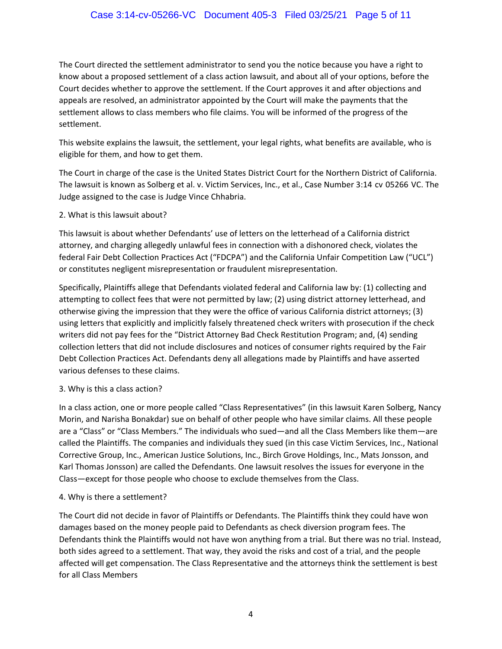The Court directed the settlement administrator to send you the notice because you have a right to know about a proposed settlement of a class action lawsuit, and about all of your options, before the Court decides whether to approve the settlement. If the Court approves it and after objections and appeals are resolved, an administrator appointed by the Court will make the payments that the settlement allows to class members who file claims. You will be informed of the progress of the settlement.

This website explains the lawsuit, the settlement, your legal rights, what benefits are available, who is eligible for them, and how to get them.

The Court in charge of the case is the United States District Court for the Northern District of California. The lawsuit is known as Solberg et al. v. Victim Services, Inc., et al., Case Number 3:14rcvr05266rVC. The Judge assigned to the case is Judge Vince Chhabria.

2. What is this lawsuit about?

This lawsuit is about whether Defendants' use of letters on the letterhead of a California district attorney, and charging allegedly unlawful fees in connection with a dishonored check, violates the federal Fair Debt Collection Practices Act ("FDCPA") and the California Unfair Competition Law ("UCL") or constitutes negligent misrepresentation or fraudulent misrepresentation.

Specifically, Plaintiffs allege that Defendants violated federal and California law by: (1) collecting and attempting to collect fees that were not permitted by law; (2) using district attorney letterhead, and otherwise giving the impression that they were the office of various California district attorneys; (3) using letters that explicitly and implicitly falsely threatened check writers with prosecution if the check writers did not pay fees for the "District Attorney Bad Check Restitution Program; and, (4) sending collection letters that did not include disclosures and notices of consumer rights required by the Fair Debt Collection Practices Act. Defendants deny all allegations made by Plaintiffs and have asserted various defenses to these claims.

3. Why is this a class action?

In a class action, one or more people called "Class Representatives" (in this lawsuit Karen Solberg, Nancy Morin, and Narisha Bonakdar) sue on behalf of other people who have similar claims. All these people are a "Class" or "Class Members." The individuals who sued—and all the Class Members like them—are called the Plaintiffs. The companies and individuals they sued (in this case Victim Services, Inc., National Corrective Group, Inc., American Justice Solutions, Inc., Birch Grove Holdings, Inc., Mats Jonsson, and Karl Thomas Jonsson) are called the Defendants. One lawsuit resolves the issues for everyone in the Class—except for those people who choose to exclude themselves from the Class.

### 4. Why is there a settlement?

The Court did not decide in favor of Plaintiffs or Defendants. The Plaintiffs think they could have won damages based on the money people paid to Defendants as check diversion program fees. The Defendants think the Plaintiffs would not have won anything from a trial. But there was no trial. Instead, both sides agreed to a settlement. That way, they avoid the risks and cost of a trial, and the people affected will get compensation. The Class Representative and the attorneys think the settlement is best for all Class Members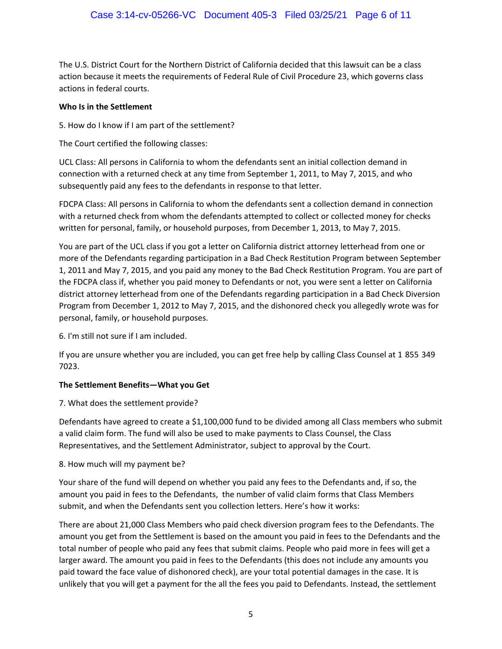The U.S. District Court for the Northern District of California decided that this lawsuit can be a class action because it meets the requirements of Federal Rule of Civil Procedure 23, which governs class actions in federal courts.

#### **Who Is in the Settlement**

5. How do I know if I am part of the settlement?

The Court certified the following classes:

UCL Class: All persons in California to whom the defendants sent an initial collection demand in connection with a returned check at any time from September 1, 2011, to May 7, 2015, and who subsequently paid any fees to the defendants in response to that letter.

FDCPA Class: All persons in California to whom the defendants sent a collection demand in connection with a returned check from whom the defendants attempted to collect or collected money for checks written for personal, family, or household purposes, from December 1, 2013, to May 7, 2015.

You are part of the UCL class if you got a letter on California district attorney letterhead from one or more of the Defendants regarding participation in a Bad Check Restitution Program between September 1, 2011 and May 7, 2015, and you paid any money to the Bad Check Restitution Program. You are part of the FDCPA class if, whether you paid money to Defendants or not, you were sent a letter on California district attorney letterhead from one of the Defendants regarding participation in a Bad Check Diversion Program from December 1, 2012 to May 7, 2015, and the dishonored check you allegedly wrote was for personal, family, or household purposes.

6. I'm still not sure if I am included.

If you are unsure whether you are included, you can get free help by calling Class Counsel at 1r855r349r 7023.

#### **The Settlement Benefits—What you Get**

7. What does the settlement provide?

Defendants have agreed to create a \$1,100,000 fund to be divided among all Class members who submit a valid claim form. The fund will also be used to make payments to Class Counsel, the Class Representatives, and the Settlement Administrator, subject to approval by the Court.

#### 8. How much will my payment be?

Your share of the fund will depend on whether you paid any fees to the Defendants and, if so, the amount you paid in fees to the Defendants, the number of valid claim forms that Class Members submit, and when the Defendants sent you collection letters. Here's how it works:

There are about 21,000 Class Members who paid check diversion program fees to the Defendants. The amount you get from the Settlement is based on the amount you paid in fees to the Defendants and the total number of people who paid any fees that submit claims. People who paid more in fees will get a larger award. The amount you paid in fees to the Defendants (this does not include any amounts you paid toward the face value of dishonored check), are your total potential damages in the case. It is unlikely that you will get a payment for the all the fees you paid to Defendants. Instead, the settlement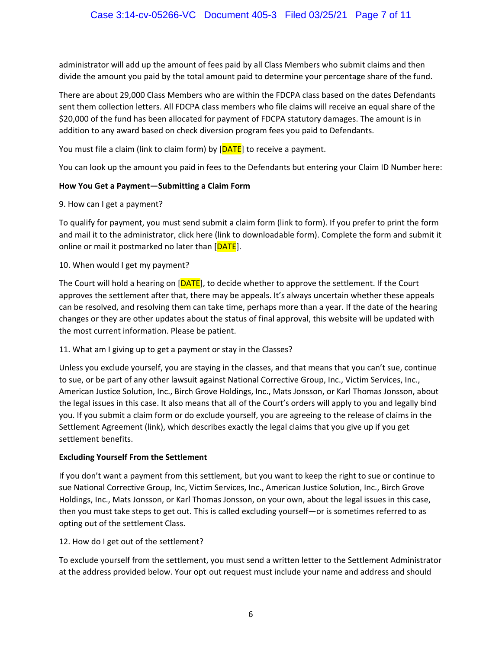administrator will add up the amount of fees paid by all Class Members who submit claims and then divide the amount you paid by the total amount paid to determine your percentage share of the fund.

There are about 29,000 Class Members who are within the FDCPA class based on the dates Defendants sent them collection letters. All FDCPA class members who file claims will receive an equal share of the \$20,000 of the fund has been allocated for payment of FDCPA statutory damages. The amount is in addition to any award based on check diversion program fees you paid to Defendants.

You must file a claim (link to claim form) by [DATE] to receive a payment.

You can look up the amount you paid in fees to the Defendants but entering your Claim ID Number here:

# How You Get a Payment—Submitting a Claim Form

9. How can I get a payment?

To qualify for payment, you must send submit a claim form (link to form). If you prefer to print the form and mail it to the administrator, click here (link to downloadable form). Complete the form and submit it online or mail it postmarked no later than [DATE].

10. When would I get my payment?

The Court will hold a hearing on  $[DATE]$ , to decide whether to approve the settlement. If the Court approves the settlement after that, there may be appeals. It's always uncertain whether these appeals can be resolved, and resolving them can take time, perhaps more than a year. If the date of the hearing changes or they are other updates about the status of final approval, this website will be updated with the most current information. Please be patient.

### 11. What am I giving up to get a payment or stay in the Classes?

Unless you exclude yourself, you are staying in the classes, and that means that you can't sue, continue to sue, or be part of any other lawsuit against National Corrective Group, Inc., Victim Services, Inc., American Justice Solution, Inc., Birch Grove Holdings, Inc., Mats Jonsson, or Karl Thomas Jonsson, about the legal issues in this case. It also means that all of the Court's orders will apply to you and legally bind you. If you submit a claim form or do exclude yourself, you are agreeing to the release of claims in the Settlement Agreement (link), which describes exactly the legal claims that you give up if you get settlement benefits.

### **Excluding Yourself From the Settlement**

If you don't want a payment from this settlement, but you want to keep the right to sue or continue to sue National Corrective Group, Inc, Victim Services, Inc., American Justice Solution, Inc., Birch Grove Holdings, Inc., Mats Jonsson, or Karl Thomas Jonsson, on your own, about the legal issues in this case, then you must take steps to get out. This is called excluding yourself—or is sometimes referred to as opting out of the settlement Class.

### 12. How do I get out of the settlement?

To exclude yourself from the settlement, you must send a written letter to the Settlement Administrator at the address provided below. Your optrout request must include your name and address and should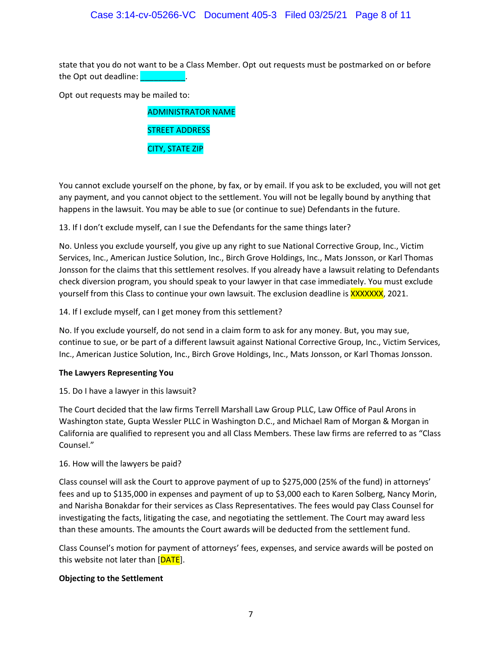# Case 3:14-cv-05266-VC Document 405-3 Filed 03/25/21 Page 8 of 11

state that you do not want to be a Class Member. Optrout requests must be postmarked on or before the Optrout deadline:

Optrout requests may be mailed to:

| <b>ADMINISTRATOR NAME</b> |
|---------------------------|
| <b>STREET ADDRESS</b>     |
| <b>CITY, STATE ZIP</b>    |

You cannot exclude yourself on the phone, by fax, or by email. If you ask to be excluded, you will not get any payment, and you cannot object to the settlement. You will not be legally bound by anything that happens in the lawsuit. You may be able to sue (or continue to sue) Defendants in the future.

13. If I don't exclude myself, can I sue the Defendants for the same things later?

No. Unless you exclude yourself, you give up any right to sue National Corrective Group, Inc., Victim Services, Inc., American Justice Solution, Inc., Birch Grove Holdings, Inc., Mats Jonsson, or Karl Thomas Jonsson for the claims that this settlement resolves. If you already have a lawsuit relating to Defendants check diversion program, you should speak to your lawyer in that case immediately. You must exclude yourself from this Class to continue your own lawsuit. The exclusion deadline is XXXXXXX, 2021.

14. If I exclude myself, can I get money from this settlement?

No. If you exclude yourself, do not send in a claim form to ask for any money. But, you may sue, continue to sue, or be part of a different lawsuit against National Corrective Group, Inc., Victim Services, Inc., American Justice Solution, Inc., Birch Grove Holdings, Inc., Mats Jonsson, or Karl Thomas Jonsson.

#### **The Lawyers Representing You**

15. Do I have a lawyer in this lawsuit?

The Court decided that the law firms Terrell Marshall Law Group PLLC, Law Office of Paul Arons in Washington state, Gupta Wessler PLLC in Washington D.C., and Michael Ram of Morgan & Morgan in California are qualified to represent you and all Class Members. These law firms are referred to as "Class" Counsel."

#### 16. How will the lawyers be paid?

Class counsel will ask the Court to approve payment of up to \$275,000 (25% of the fund) in attorneys' fees and up to \$135,000 in expenses and payment of up to \$3,000 each to Karen Solberg, Nancy Morin, and Narisha Bonakdar for their services as Class Representatives. The fees would pay Class Counsel for investigating the facts, litigating the case, and negotiating the settlement. The Court may award less than these amounts. The amounts the Court awards will be deducted from the settlement fund.

Class Counsel's motion for payment of attorneys' fees, expenses, and service awards will be posted on this website not later than [DATE].

#### **Objecting to the Settlement**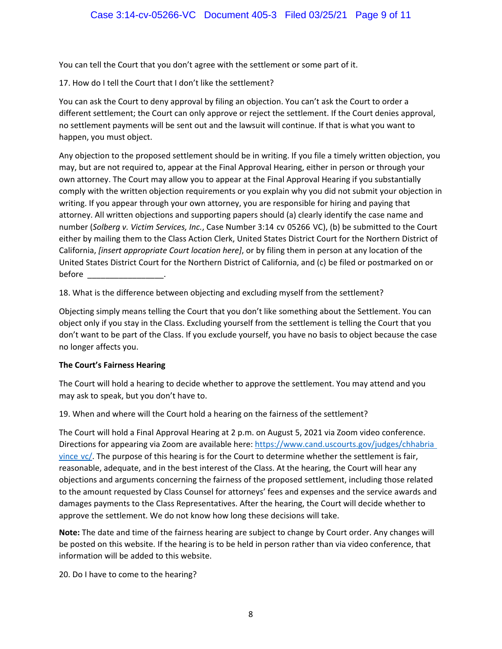You can tell the Court that you don't agree with the settlement or some part of it.

17. How do I tell the Court that I don't like the settlement?

You can ask the Court to deny approval by filing an objection. You can't ask the Court to order a different settlement; the Court can only approve or reject the settlement. If the Court denies approval, no settlement payments will be sent out and the lawsuit will continue. If that is what you want to happen, you must object.

Any objection to the proposed settlement should be in writing. If you file a timely written objection, you may, but are not required to, appear at the Final Approval Hearing, either in person or through your own attorney. The Court may allow you to appear at the Final Approval Hearing if you substantially comply with the written objection requirements or you explain why you did not submit your objection in writing. If you appear through your own attorney, you are responsible for hiring and paying that attorney. All written objections and supporting papers should (a) clearly identify the case name and number (*Solberg v. Victim Services, Inc.*, Case Number 3:14rcvr05266rVC), (b) be submitted to the Court either by mailing them to the Class Action Clerk, United States District Court for the Northern District of California, *[insert appropriate Court location here]*, or by filing them in person at any location of the United States District Court for the Northern District of California, and (c) be filed or postmarked on or before  $\blacksquare$ 

18. What is the difference between objecting and excluding myself from the settlement?

Objecting simply means telling the Court that you don't like something about the Settlement. You can object only if you stay in the Class. Excluding yourself from the settlement is telling the Court that you don't want to be part of the Class. If you exclude yourself, you have no basis to object because the case no longer affects you.

#### **The Court's Fairness Hearing**

The Court will hold a hearing to decide whether to approve the settlement. You may attend and you may ask to speak, but you don't have to.

19. When and where will the Court hold a hearing on the fairness of the settlement?

The Court will hold a Final Approval Hearing at 2 p.m. on August 5, 2021 via Zoom video conference. Directions for appearing via Zoom are available here: https://www.cand.uscourts.gov/judges/chhabriar vincervc/. The purpose of this hearing is for the Court to determine whether the settlement is fair, reasonable, adequate, and in the best interest of the Class. At the hearing, the Court will hear any objections and arguments concerning the fairness of the proposed settlement, including those related to the amount requested by Class Counsel for attorneys' fees and expenses and the service awards and damages payments to the Class Representatives. After the hearing, the Court will decide whether to approve the settlement. We do not know how long these decisions will take.

**Note:** The date and time of the fairness hearing are subject to change by Court order. Any changes will be posted on this website. If the hearing is to be held in person rather than via video conference, that information will be added to this website.

20. Do I have to come to the hearing?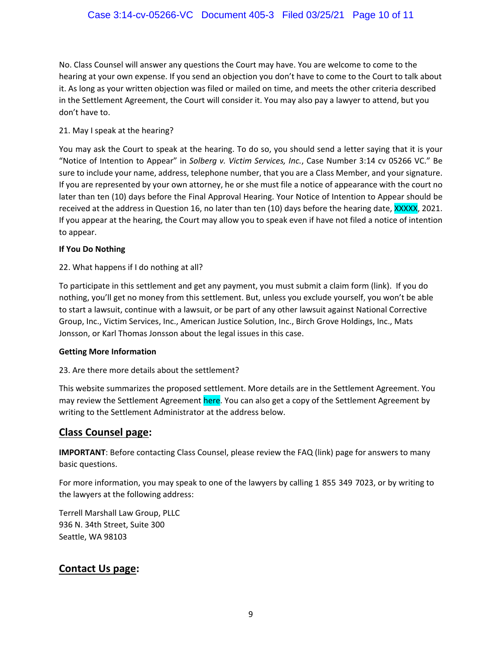No. Class Counsel will answer any questions the Court may have. You are welcome to come to the hearing at your own expense. If you send an objection you don't have to come to the Court to talk about it. As long as your written objection was filed or mailed on time, and meets the other criteria described in the Settlement Agreement, the Court will consider it. You may also pay a lawyer to attend, but you don't have to.

# 21. May I speak at the hearing?

You may ask the Court to speak at the hearing. To do so, you should send a letter saying that it is your "Notice of Intention to Appear" in Solberg v. Victim Services, Inc., Case Number 3:14rcvr05266rVC." Be sure to include your name, address, telephone number, that you are a Class Member, and your signature. If you are represented by your own attorney, he or she must file a notice of appearance with the court no later than ten (10) days before the Final Approval Hearing. Your Notice of Intention to Appear should be received at the address in Question 16, no later than ten (10) days before the hearing date, XXXXX, 2021. If you appear at the hearing, the Court may allow you to speak even if have not filed a notice of intention to appear.

# **If You Do Nothing**

# 22. What happens if I do nothing at all?

To participate in this settlement and get any payment, you must submit a claim form (link). If you do nothing, you'll get no money from this settlement. But, unless you exclude yourself, you won't be able to start a lawsuit, continue with a lawsuit, or be part of any other lawsuit against National Corrective Group, Inc., Victim Services, Inc., American Justice Solution, Inc., Birch Grove Holdings, Inc., Mats Jonsson, or Karl Thomas Jonsson about the legal issues in this case.

### **Getting More Information**

# 23. Are there more details about the settlement?

This website summarizes the proposed settlement. More details are in the Settlement Agreement. You may review the Settlement Agreement here. You can also get a copy of the Settlement Agreement by writing to the Settlement Administrator at the address below.

# **Class Counsel page:**

**IMPORTANT:** Before contacting Class Counsel, please review the FAQ (link) page for answers to many basic questions.

For more information, you may speak to one of the lawyers by calling 1r855r349r7023, or by writing to the lawyers at the following address:

Terrell Marshall Law Group, PLLC 936 N. 34th Street, Suite 300 Seattle, WA 98103

# **Contact Us page:**